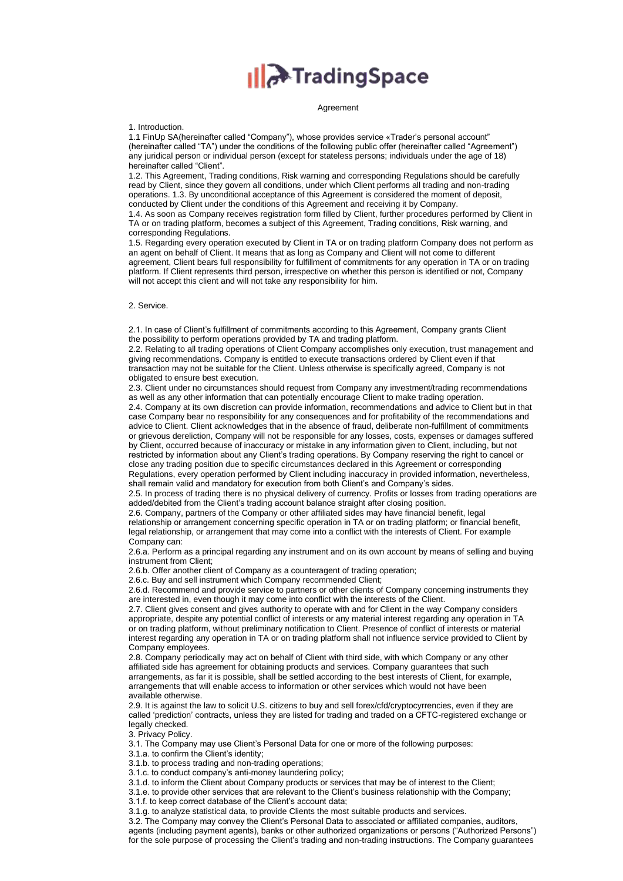## **Illet**TradingSpace

## Agreement

1. Introduction.

1.1 FinUp SA(hereinafter called "Company"), whose provides service «Trader's personal account" (hereinafter called "TA") under the conditions of the following public offer (hereinafter called "Agreement") any juridical person or individual person (except for stateless persons; individuals under the age of 18) hereinafter called "Client".

1.2. This Agreement, Trading conditions, Risk warning and corresponding Regulations should be carefully read by Client, since they govern all conditions, under which Client performs all trading and non-trading operations. 1.3. By unconditional acceptance of this Agreement is considered the moment of deposit, conducted by Client under the conditions of this Agreement and receiving it by Company.

1.4. As soon as Company receives registration form filled by Client, further procedures performed by Client in TA or on trading platform, becomes a subject of this Agreement, Trading conditions, Risk warning, and corresponding Regulations.

1.5. Regarding every operation executed by Client in TA or on trading platform Company does not perform as an agent on behalf of Client. It means that as long as Company and Client will not come to different agreement, Client bears full responsibility for fulfillment of commitments for any operation in TA or on trading platform. If Client represents third person, irrespective on whether this person is identified or not, Company will not accept this client and will not take any responsibility for him.

## 2. Service.

2.1. In case of Client's fulfillment of commitments according to this Agreement, Company grants Client the possibility to perform operations provided by TA and trading platform.

2.2. Relating to all trading operations of Client Company accomplishes only execution, trust management and giving recommendations. Company is entitled to execute transactions ordered by Client even if that transaction may not be suitable for the Client. Unless otherwise is specifically agreed, Company is not obligated to ensure best execution.

2.3. Client under no circumstances should request from Company any investment/trading recommendations as well as any other information that can potentially encourage Client to make trading operation.

2.4. Company at its own discretion can provide information, recommendations and advice to Client but in that case Company bear no responsibility for any consequences and for profitability of the recommendations and advice to Client. Client acknowledges that in the absence of fraud, deliberate non-fulfillment of commitments or grievous dereliction, Company will not be responsible for any losses, costs, expenses or damages suffered by Client, occurred because of inaccuracy or mistake in any information given to Client, including, but not restricted by information about any Client's trading operations. By Company reserving the right to cancel or close any trading position due to specific circumstances declared in this Agreement or corresponding Regulations, every operation performed by Client including inaccuracy in provided information, nevertheless, shall remain valid and mandatory for execution from both Client's and Company's sides.

2.5. In process of trading there is no physical delivery of currency. Profits or losses from trading operations are added/debited from the Client's trading account balance straight after closing position.

2.6. Company, partners of the Company or other affiliated sides may have financial benefit, legal relationship or arrangement concerning specific operation in TA or on trading platform; or financial benefit, legal relationship, or arrangement that may come into a conflict with the interests of Client. For example Company can:

2.6.a. Perform as a principal regarding any instrument and on its own account by means of selling and buying instrument from Client;

2.6.b. Offer another client of Company as a counteragent of trading operation;

2.6.c. Buy and sell instrument which Company recommended Client;

2.6.d. Recommend and provide service to partners or other clients of Company concerning instruments they are interested in, even though it may come into conflict with the interests of the Client.

2.7. Client gives consent and gives authority to operate with and for Client in the way Company considers appropriate, despite any potential conflict of interests or any material interest regarding any operation in TA or on trading platform, without preliminary notification to Client. Presence of conflict of interests or material interest regarding any operation in TA or on trading platform shall not influence service provided to Client by Company employees.

2.8. Company periodically may act on behalf of Client with third side, with which Company or any other affiliated side has agreement for obtaining products and services. Company guarantees that such arrangements, as far it is possible, shall be settled according to the best interests of Client, for example, arrangements that will enable access to information or other services which would not have been available otherwise.

2.9. It is against the law to solicit U.S. citizens to buy and sell forex/cfd/cryptocyrrencies, even if they are called 'prediction' contracts, unless they are listed for trading and traded on a CFTC-registered exchange or legally checked.

3. Privacy Policy.

3.1. The Company may use Client's Personal Data for one or more of the following purposes:

3.1.а. to confirm the Client's identity;

3.1.b. to process trading and non-trading operations;

3.1.c. to conduct company's anti-money laundering policy;

3.1.d. to inform the Client about Company products or services that may be of interest to the Client;

3.1.e. to provide other services that are relevant to the Client's business relationship with the Company;

3.1.f. to keep correct database of the Client's account data;

3.1.g. to analyze statistical data, to provide Clients the most suitable products and services.

3.2. The Company may convey the Client's Personal Data to associated or affiliated companies, auditors, agents (including payment agents), banks or other authorized organizations or persons ("Authorized Persons") for the sole purpose of processing the Client's trading and non-trading instructions. The Company guarantees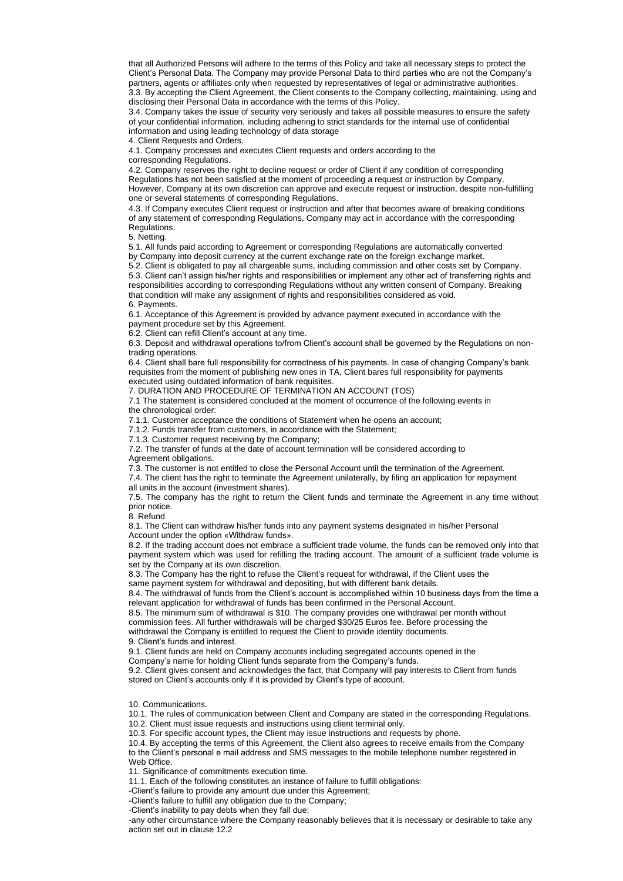that all Authorized Persons will adhere to the terms of this Policy and take all necessary steps to protect the Client's Personal Data. The Company may provide Personal Data to third parties who are not the Company's partners, agents or affiliates only when requested by representatives of legal or administrative authorities. 3.3. By accepting the Client Agreement, the Client consents to the Company collecting, maintaining, using and disclosing their Personal Data in accordance with the terms of this Policy.

3.4. Company takes the issue of security very seriously and takes all possible measures to ensure the safety of your confidential information, including adhering to strict standards for the internal use of confidential information and using leading technology of data storage

4. Client Requests and Orders.

4.1. Company processes and executes Client requests and orders according to the

corresponding Regulations.

4.2. Company reserves the right to decline request or order of Client if any condition of corresponding Regulations has not been satisfied at the moment of proceeding a request or instruction by Company. However, Company at its own discretion can approve and execute request or instruction, despite non-fulfilling one or several statements of corresponding Regulations.

4.3. If Company executes Client request or instruction and after that becomes aware of breaking conditions of any statement of corresponding Regulations, Company may act in accordance with the corresponding Regulations.

5. Netting.

5.1. All funds paid according to Agreement or corresponding Regulations are automatically converted by Company into deposit currency at the current exchange rate on the foreign exchange market.

5.2. Client is obligated to pay all chargeable sums, including commission and other costs set by Company. 5.3. Client can't assign his/her rights and responsibilities or implement any other act of transferring rights and responsibilities according to corresponding Regulations without any written consent of Company. Breaking that condition will make any assignment of rights and responsibilities considered as void. 6. Payments.

6.1. Acceptance of this Agreement is provided by advance payment executed in accordance with the payment procedure set by this Agreement.

6.2. Client can refill Client's account at any time.

6.3. Deposit and withdrawal operations to/from Client's account shall be governed by the Regulations on nontrading operations.

6.4. Client shall bare full responsibility for correctness of his payments. In case of changing Company's bank requisites from the moment of publishing new ones in TA, Client bares full responsibility for payments executed using outdated information of bank requisites.

7. DURATION AND PROCEDURE OF TERMINATION AN ACCOUNT (TOS)

7.1 The statement is considered concluded at the moment of occurrence of the following events in the chronological order:

7.1.1. Customer acceptance the conditions of Statement when he opens an account;

7.1.2. Funds transfer from customers, in accordance with the Statement;

7.1.3. Customer request receiving by the Company;

7.2. The transfer of funds at the date of account termination will be considered according to

Agreement obligations.

7.3. The customer is not entitled to close the Personal Account until the termination of the Agreement.

7.4. The client has the right to terminate the Agreement unilaterally, by filing an application for repayment all units in the account (investment shares).

7.5. The company has the right to return the Client funds and terminate the Agreement in any time without prior notice.

8. Refund

8.1. The Client can withdraw his/her funds into any payment systems designated in his/her Personal Account under the option «Withdraw funds».

8.2. If the trading account does not embrace a sufficient trade volume, the funds can be removed only into that payment system which was used for refilling the trading account. The amount of a sufficient trade volume is set by the Company at its own discretion.

8.3. The Company has the right to refuse the Client's request for withdrawal, if the Client uses the

same payment system for withdrawal and depositing, but with different bank details.

8.4. The withdrawal of funds from the Client's account is accomplished within 10 business days from the time a relevant application for withdrawal of funds has been confirmed in the Personal Account.

8.5. The minimum sum of withdrawal is \$10. The company provides one withdrawal per month without commission fees. All further withdrawals will be charged \$30/25 Euros fee. Before processing the

withdrawal the Company is entitled to request the Client to provide identity documents. 9. Client's funds and interest.

9.1. Client funds are held on Company accounts including segregated accounts opened in the

Company's name for holding Client funds separate from the Company's funds.

9.2. Client gives consent and acknowledges the fact, that Company will pay interests to Client from funds stored on Client's accounts only if it is provided by Client's type of account.

10. Communications.

10.1. The rules of communication between Client and Company are stated in the corresponding Regulations.

10.2. Client must issue requests and instructions using client terminal only.

10.3. For specific account types, the Client may issue instructions and requests by phone.

10.4. By accepting the terms of this Agreement, the Client also agrees to receive emails from the Company to the Client's personal e mail address and SMS messages to the mobile telephone number registered in Web Office.

11. Significance of commitments execution time.

11.1. Each of the following constitutes an instance of failure to fulfill obligations:

-Client's failure to provide any amount due under this Agreement;

-Client's failure to fulfill any obligation due to the Company;

-Client's inability to pay debts when they fall due;

-any other circumstance where the Company reasonably believes that it is necessary or desirable to take any action set out in clause 12.2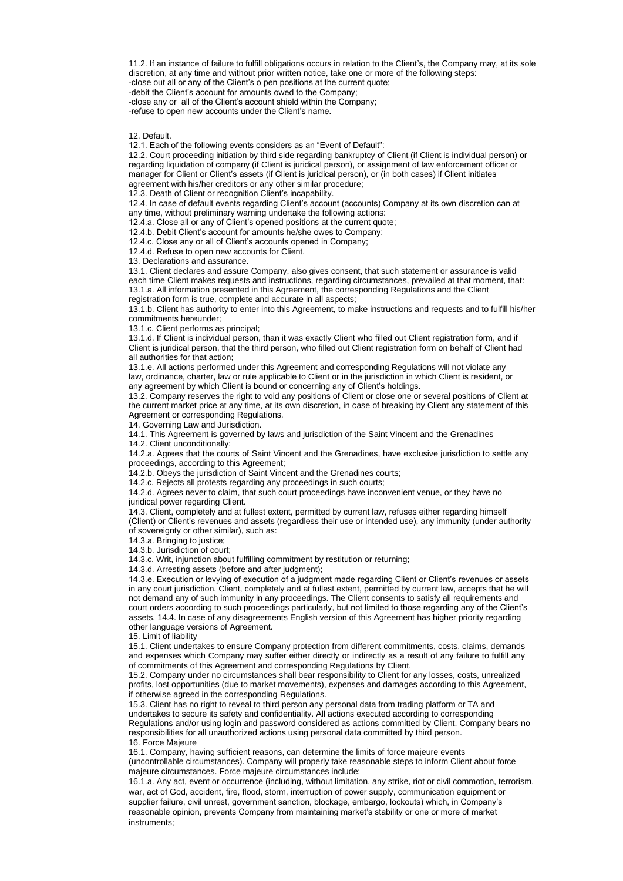11.2. If an instance of failure to fulfill obligations occurs in relation to the Client's, the Company may, at its sole discretion, at any time and without prior written notice, take one or more of the following steps:

-close out all or any of the Client's o pen positions at the current quote;

-debit the Client's account for amounts owed to the Company;

-close any or all of the Client's account shield within the Company;

-refuse to open new accounts under the Client's name.

12. Default.

12.1. Each of the following events considers as an "Event of Default":

12.2. Court proceeding initiation by third side regarding bankruptcy of Client (if Client is individual person) or regarding liquidation of company (if Client is juridical person), or assignment of law enforcement officer or manager for Client or Client's assets (if Client is juridical person), or (in both cases) if Client initiates agreement with his/her creditors or any other similar procedure;

12.3. Death of Client or recognition Client's incapability.

12.4. In case of default events regarding Client's account (accounts) Company at its own discretion can at

any time, without preliminary warning undertake the following actions:

12.4.a. Close all or any of Client's opened positions at the current quote;

12.4.b. Debit Client's account for amounts he/she owes to Company;

12.4.c. Close any or all of Client's accounts opened in Company; 12.4.d. Refuse to open new accounts for Client.

13. Declarations and assurance.

13.1. Client declares and assure Company, also gives consent, that such statement or assurance is valid each time Client makes requests and instructions, regarding circumstances, prevailed at that moment, that: 13.1.а. All information presented in this Agreement, the corresponding Regulations and the Client registration form is true, complete and accurate in all aspects;

13.1.b. Client has authority to enter into this Agreement, to make instructions and requests and to fulfill his/her commitments hereunder;

13.1.c. Client performs as principal;

13.1.d. If Client is individual person, than it was exactly Client who filled out Client registration form, and if Client is juridical person, that the third person, who filled out Client registration form on behalf of Client had all authorities for that action;

13.1.e. All actions performed under this Agreement and corresponding Regulations will not violate any law, ordinance, charter, law or rule applicable to Client or in the jurisdiction in which Client is resident, or any agreement by which Client is bound or concerning any of Client's holdings.

13.2. Company reserves the right to void any positions of Client or close one or several positions of Client at the current market price at any time, at its own discretion, in case of breaking by Client any statement of this Agreement or corresponding Regulations.

14. Governing Law and Jurisdiction.

14.1. This Agreement is governed by laws and jurisdiction of the Saint Vincent and the Grenadines 14.2. Client unconditionally:

14.2.a. Agrees that the courts of Saint Vincent and the Grenadines, have exclusive jurisdiction to settle any proceedings, according to this Agreement;

14.2.b. Obeys the jurisdiction of Saint Vincent and the Grenadines courts;

14.2.c. Rejects all protests regarding any proceedings in such courts;

14.2.d. Agrees never to claim, that such court proceedings have inconvenient venue, or they have no juridical power regarding Client.

14.3. Client, completely and at fullest extent, permitted by current law, refuses either regarding himself (Client) or Client's revenues and assets (regardless their use or intended use), any immunity (under authority of sovereignty or other similar), such as:

14.3.a. Bringing to justice;

14.3.b. Jurisdiction of court;

14.3.c. Writ, injunction about fulfilling commitment by restitution or returning;

14.3.d. Arresting assets (before and after judgment);

14.3.e. Execution or levying of execution of a judgment made regarding Client or Client's revenues or assets in any court jurisdiction. Client, completely and at fullest extent, permitted by current law, accepts that he will not demand any of such immunity in any proceedings. The Client consents to satisfy all requirements and court orders according to such proceedings particularly, but not limited to those regarding any of the Client's assets. 14.4. In case of any disagreements English version of this Agreement has higher priority regarding other language versions of Agreement.

15. Limit of liability

15.1. Client undertakes to ensure Company protection from different commitments, costs, claims, demands and expenses which Company may suffer either directly or indirectly as a result of any failure to fulfill any of commitments of this Agreement and corresponding Regulations by Client.

15.2. Company under no circumstances shall bear responsibility to Client for any losses, costs, unrealized profits, lost opportunities (due to market movements), expenses and damages according to this Agreement, if otherwise agreed in the corresponding Regulations.

15.3. Client has no right to reveal to third person any personal data from trading platform or TA and undertakes to secure its safety and confidentiality. All actions executed according to corresponding Regulations and/or using login and password considered as actions committed by Client. Company bears no responsibilities for all unauthorized actions using personal data committed by third person. 16. Force Majeure

16.1. Company, having sufficient reasons, can determine the limits of force majeure events (uncontrollable circumstances). Company will properly take reasonable steps to inform Client about force majeure circumstances. Force majeure circumstances include:

16.1.a. Any act, event or occurrence (including, without limitation, any strike, riot or civil commotion, terrorism, war, act of God, accident, fire, flood, storm, interruption of power supply, communication equipment or supplier failure, civil unrest, government sanction, blockage, embargo, lockouts) which, in Company's reasonable opinion, prevents Company from maintaining market's stability or one or more of market instruments;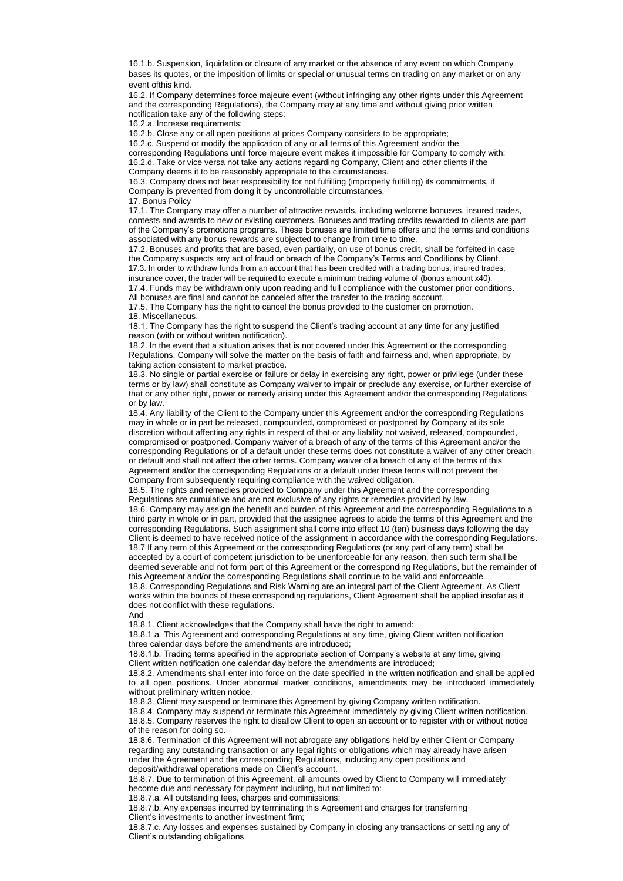16.1.b. Suspension, liquidation or closure of any market or the absence of any event on which Company bases its quotes, or the imposition of limits or special or unusual terms on trading on any market or on any event ofthis kind.

16.2. If Company determines force majeure event (without infringing any other rights under this Agreement and the corresponding Regulations), the Company may at any time and without giving prior written notification take any of the following steps:

16.2.a. Increase requirements;

16.2.b. Close any or all open positions at prices Company considers to be appropriate;

16.2.c. Suspend or modify the application of any or all terms of this Agreement and/or the

corresponding Regulations until force majeure event makes it impossible for Company to comply with; 16.2.d. Take or vice versa not take any actions regarding Company, Client and other clients if the Company deems it to be reasonably appropriate to the circumstances.

16.3. Company does not bear responsibility for not fulfilling (improperly fulfilling) its commitments, if Company is prevented from doing it by uncontrollable circumstances.

17. Bonus Policy 17.1. The Company may offer a number of attractive rewards, including welcome bonuses, insured trades, contests and awards to new or existing customers. Bonuses and trading credits rewarded to clients are part of the Company's promotions programs. These bonuses are limited time offers and the terms and conditions

associated with any bonus rewards are subjected to change from time to time. 17.2. Bonuses and profits that are based, even partially, on use of bonus credit, shall be forfeited in case the Company suspects any act of fraud or breach of the Company's Terms and Conditions by Client. 17.3. In order to withdraw funds from an account that has been credited with a trading bonus, insured trades,

insurance cover, the trader will be required to execute a minimum trading volume of (bonus amount x40).

17.4. Funds may be withdrawn only upon reading and full compliance with the customer prior conditions. All bonuses are final and cannot be canceled after the transfer to the trading account.

17.5. The Company has the right to cancel the bonus provided to the customer on promotion. 18. Miscellaneous.

18.1. The Company has the right to suspend the Client's trading account at any time for any justified reason (with or without written notification).

18.2. In the event that a situation arises that is not covered under this Agreement or the corresponding Regulations, Company will solve the matter on the basis of faith and fairness and, when appropriate, by taking action consistent to market practice.

18.3. No single or partial exercise or failure or delay in exercising any right, power or privilege (under these terms or by law) shall constitute as Company waiver to impair or preclude any exercise, or further exercise of that or any other right, power or remedy arising under this Agreement and/or the corresponding Regulations or by law.

18.4. Any liability of the Client to the Company under this Agreement and/or the corresponding Regulations may in whole or in part be released, compounded, compromised or postponed by Company at its sole discretion without affecting any rights in respect of that or any liability not waived, released, compounded, compromised or postponed. Company waiver of a breach of any of the terms of this Agreement and/or the corresponding Regulations or of a default under these terms does not constitute a waiver of any other breach or default and shall not affect the other terms. Company waiver of a breach of any of the terms of this Agreement and/or the corresponding Regulations or a default under these terms will not prevent the Company from subsequently requiring compliance with the waived obligation.

18.5. The rights and remedies provided to Company under this Agreement and the corresponding Regulations are cumulative and are not exclusive of any rights or remedies provided by law. 18.6. Company may assign the benefit and burden of this Agreement and the corresponding Regulations to a third party in whole or in part, provided that the assignee agrees to abide the terms of this Agreement and the corresponding Regulations. Such assignment shall come into effect 10 (ten) business days following the day Client is deemed to have received notice of the assignment in accordance with the corresponding Regulations. 18.7 If any term of this Agreement or the corresponding Regulations (or any part of any term) shall be accepted by a court of competent jurisdiction to be unenforceable for any reason, then such term shall be deemed severable and not form part of this Agreement or the corresponding Regulations, but the remainder of this Agreement and/or the corresponding Regulations shall continue to be valid and enforceable.

18.8. Corresponding Regulations and Risk Warning are an integral part of the Client Agreement. As Client works within the bounds of these corresponding regulations, Client Agreement shall be applied insofar as it does not conflict with these regulations.

And

18.8.1. Client acknowledges that the Company shall have the right to amend:

18.8.1.а. This Agreement and corresponding Regulations at any time, giving Client written notification three calendar days before the amendments are introduced;

18.8.1.b. Trading terms specified in the appropriate section of Company's website at any time, giving Client written notification one calendar day before the amendments are introduced;

18.8.2. Amendments shall enter into force on the date specified in the written notification and shall be applied to all open positions. Under abnormal market conditions, amendments may be introduced immediately without preliminary written notice.

18.8.3. Client may suspend or terminate this Agreement by giving Company written notification.

18.8.4. Company may suspend or terminate this Agreement immediately by giving Client written notification. 18.8.5. Company reserves the right to disallow Client to open an account or to register with or without notice of the reason for doing so.

18.8.6. Termination of this Agreement will not abrogate any obligations held by either Client or Company regarding any outstanding transaction or any legal rights or obligations which may already have arisen under the Agreement and the corresponding Regulations, including any open positions and deposit/withdrawal operations made on Client's account.

18.8.7. Due to termination of this Agreement, all amounts owed by Client to Company will immediately become due and necessary for payment including, but not limited to:

18.8.7.а. All outstanding fees, charges and commissions;

18.8.7.b. Any expenses incurred by terminating this Agreement and charges for transferring Client's investments to another investment firm;

18.8.7.c. Any losses and expenses sustained by Company in closing any transactions or settling any of Client's outstanding obligations.